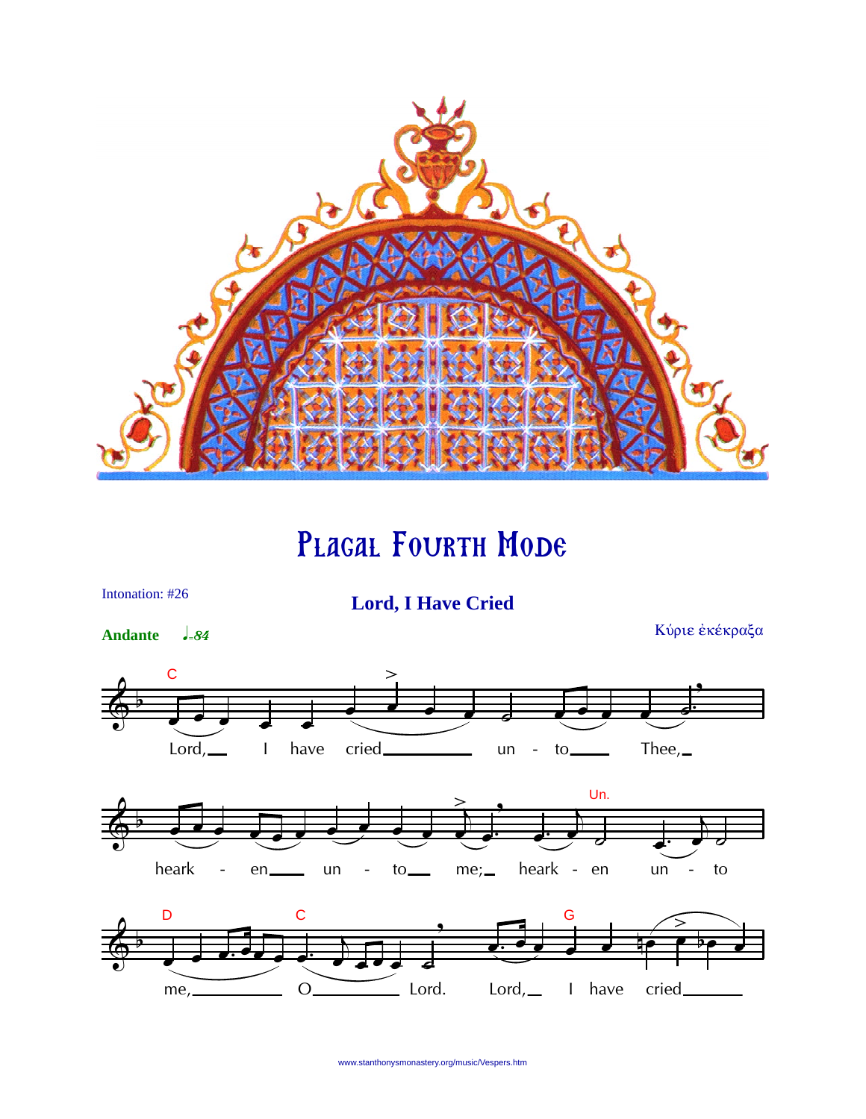

PLAGAL FOURTH MODE



www.stanthonysmonastery.org/music/Vespers.htm